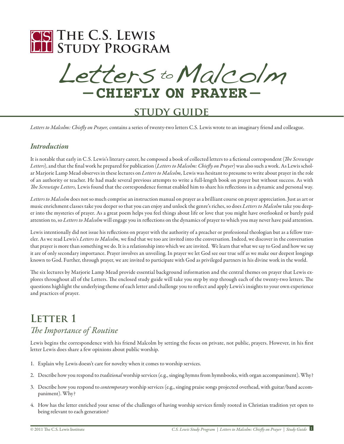

Letters to Malcolm **– Chiefly on Prayer –**

### **study guide**

*Letters to Malcolm: Chiefly on Prayer,* contains a series of twenty-two letters C.S. Lewis wrote to an imaginary friend and colleague.

#### *Introduction*

It is notable that early in C.S. Lewis's literary career, he composed a book of collected letters to a fictional correspondent (*The Screwtape Letters*), and that the final work he prepared for publication (*Letters to Malcolm: Chiefly on Prayer*) was also such a work. As Lewis scholar Marjorie Lamp Mead observes in these lectures on *Letters to Malcolm,* Lewis was hesitant to presume to write about prayer in the role of an authority or teacher. He had made several previous attempts to write a full-length book on prayer but without success. As with *The Screwtape Letters,* Lewis found that the correspondence format enabled him to share his reflections in a dynamic and personal way.

*Letters to Malcolm* does not so much comprise an instruction manual on prayer as a brilliant course on prayer appreciation. Just as art or music enrichment classes take you deeper so that you can enjoy and unlock the genre's riches, so does *Letters to Malcolm* take you deeper into the mysteries of prayer. As a great poem helps you feel things about life or love that you might have overlooked or barely paid attention to, so *Letters to Malcolm* will engage you in reflections on the dynamics of prayer to which you may never have paid attention.

Lewis intentionally did not issue his reflections on prayer with the authority of a preacher or professional theologian but as a fellow traveler. As we read Lewis's *Letters to Malcolm,* we find that we too are invited into the conversation. Indeed, we discover in the conversation that prayer is more than something we do. It is a relationship into which we are invited. We learn that what we say to God and how we say it are of only secondary importance. Prayer involves an unveiling. In prayer we let God see our true self as we make our deepest longings known to God. Further, through prayer, we are invited to participate with God as privileged partners in his divine work in the world.

The six lectures by Marjorie Lamp Mead provide essential background information and the central themes on prayer that Lewis explores throughout all of the Letters. The enclosed study guide will take you step by step through each of the twenty-two letters. The questions highlight the underlying theme of each letter and challenge you to reflect and apply Lewis's insights to your own experience and practices of prayer.

#### **LETTER 1** *The Importance of Routine*

Lewis begins the correspondence with his friend Malcolm by setting the focus on private, not public, prayers. However, in his first letter Lewis does share a few opinions about public worship.

- 1. Explain why Lewis doesn't care for novelty when it comes to worship services.
- 2. Describe how you respond to *traditional* worship services (e.g., singing hymns from hymnbooks, with organ accompaniment). Why?
- 3. Describe how you respond to *contemporary* worship services (e.g., singing praise songs projected overhead, with guitar/band accompaniment). Why?
- 4. How has the letter enriched your sense of the challenges of having worship services firmly rooted in Christian tradition yet open to being relevant to each generation?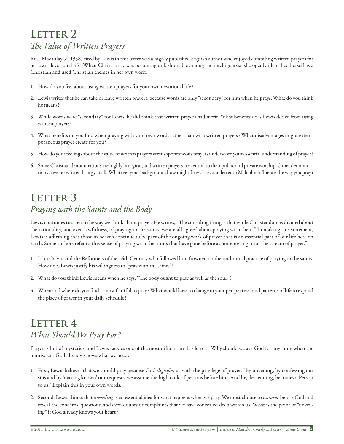# LETTER 2 *The Value of Written Prayers*

Rose Macaulay (d. 1958) cited by Lewis in this letter was a highly published English author who enjoyed compiling written prayers for her own devotional life. When Christianity was becoming unfashionable among the intelligentsia, she openly identified herself as a Christian and used Christian themes in her own work.

- 1. How do you feel about using written prayers for your own devotional life?
- 2. Lewis writes that he can take or leave written prayers, because words are only "secondary" for him when he prays. What do you think he means?
- 3. While words were "secondary" for Lewis, he did think that written prayers had merit. What benefits does Lewis derive from using written prayers?
- 4. What benefits do you find when praying with your own words rather than with written prayers? What disadvantages might extemporaneous prayer create for you?
- 5. How do your feelings about the value of written prayers versus spontaneous prayers underscore your essential understanding of prayer?
- 6. Some Christian denominations are highly liturgical, and written prayers are central to their public and private worship. Other denominations have no written liturgy at all. Whatever your background, how might Lewis's second letter to Malcolm influence the way you pray?

# LETTER 3 *Praying with the Saints and the Body*

Lewis continues to stretch the way we think about prayer. He writes, "The consoling thing is that while Christendom is divided about the rationality, and even lawfulness, of praying to the saints, we are all agreed about praying with them." In making this statement, Lewis is affirming that those in heaven continue to be part of the ongoing work of prayer that is an essential part of our life here on earth. Some authors refer to this sense of praying with the saints that have gone before as our entering into "the stream of prayer."

- 1. John Calvin and the Reformers of the 16th Century who followed him frowned on the traditional practice of praying to the saints. How does Lewis justify his willingness to "pray with the saints"?
- 2. What do you think Lewis means when he says, "The body ought to pray as well as the soul."?
- 3. When and where do you find it most fruitful to pray? What would have to change in your perspectives and patterns of life to expand the place of prayer in your daily schedule?

### **LETTER 4** *What Should We Pray For?*

Prayer is full of mysteries, and Lewis tackles one of the most difficult in this letter: "Why should we ask God for anything when the omniscient God already knows what we need?"

- 1. First, Lewis believes that we should pray because God *dignifies* us with the privilege of prayer. "By unveiling, by confessing our sins and by 'making known' our requests, we assume the high rank of persons before him. And he, descending, becomes a Person to us." Explain this in your own words.
- 2. Second, Lewis thinks that *unveiling* is an essential idea for what happens when we pray. We must choose to *uncover* before God and reveal the concerns, questions, and even doubts or complaints that we have concealed deep within us. What is the point of "unveiling" if God already knows your heart?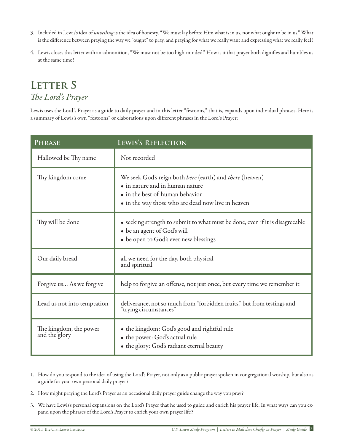- 3. Included in Lewis's idea of *unveiling* is the idea of honesty. "We must lay before Him what is in us, not what ought to be in us." What is the difference between praying the way we "ought" to pray, and praying for what we really want and expressing what we really feel?
- 4. Lewis closes this letter with an admonition, "We must not be too high-minded." How is it that prayer both dignifies and humbles us at the same time?

### LETTER 5 *The Lord's Prayer*

Lewis uses the Lord's Prayer as a guide to daily prayer and in this letter "festoons," that is, expands upon individual phrases. Here is a summary of Lewis's own "festoons" or elaborations upon different phrases in the Lord's Prayer:

| <b>PHRASE</b>                           | LEWIS'S REFLECTION                                                                                                                                                                   |
|-----------------------------------------|--------------------------------------------------------------------------------------------------------------------------------------------------------------------------------------|
| Hallowed be Thy name                    | Not recorded                                                                                                                                                                         |
| Thy kingdom come                        | We seek God's reign both here (earth) and there (heaven)<br>· in nature and in human nature<br>• in the best of human behavior<br>• in the way those who are dead now live in heaven |
| Thy will be done                        | • seeking strength to submit to what must be done, even if it is disagreeable<br>• be an agent of God's will<br>• be open to God's ever new blessings                                |
| Our daily bread                         | all we need for the day, both physical<br>and spiritual                                                                                                                              |
| Forgive us As we forgive                | help to forgive an offense, not just once, but every time we remember it                                                                                                             |
| Lead us not into temptation             | deliverance, not so much from "forbidden fruits," but from testings and<br>'trying circumstances"                                                                                    |
| The kingdom, the power<br>and the glory | • the kingdom: God's good and rightful rule<br>· the power: God's actual rule<br>• the glory: God's radiant eternal beauty                                                           |

- 1. How do you respond to the idea of using the Lord's Prayer, not only as a public prayer spoken in congregational worship, but also as a guide for your own personal daily prayer?
- 2. How might praying the Lord's Prayer as an occasional daily prayer guide change the way you pray?
- 3. We have Lewis's personal expansions on the Lord's Prayer that he used to guide and enrich his prayer life. In what ways can you expand upon the phrases of the Lord's Prayer to enrich your own prayer life?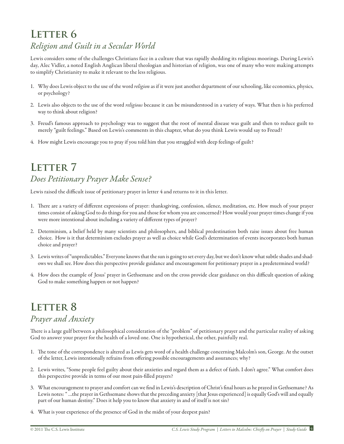# LETTER 6 *Religion and Guilt in a Secular World*

Lewis considers some of the challenges Christians face in a culture that was rapidly shedding its religious moorings. During Lewis's day, Alec Vidler, a noted English Anglican liberal theologian and historian of religion, was one of many who were making attempts to simplify Christianity to make it relevant to the less religious.

- 1. Why does Lewis object to the use of the word *religion* as if it were just another department of our schooling, like economics, physics, or psychology?
- 2. Lewis also objects to the use of the word *religious* because it can be misunderstood in a variety of ways. What then is his preferred way to think about religion?
- 3. Freud's famous approach to psychology was to suggest that the root of mental disease was guilt and then to reduce guilt to merely "guilt feelings." Based on Lewis's comments in this chapter, what do you think Lewis would say to Freud?
- 4. How might Lewis encourage you to pray if you told him that you struggled with deep feelings of guilt?

# **LETTER 7** *Does Petitionary Prayer Make Sense?*

Lewis raised the difficult issue of petitionary prayer in letter 4 and returns to it in this letter.

- 1. There are a variety of different expressions of prayer: thanksgiving, confession, silence, meditation, etc. How much of your prayer times consist of asking God to do things for you and those for whom you are concerned? How would your prayer times change if you were more intentional about including a variety of different types of prayer?
- 2. Determinism, a belief held by many scientists and philosophers, and biblical predestination both raise issues about free human choice. How is it that determinism excludes prayer as well as choice while God's determination of events incorporates both human choice and prayer?
- 3. Lewis writes of "unpredictables." Everyone knows that the sun is going to set every day, but we don't know what subtle shades and shadows we shall see. How does this perspective provide guidance and encouragement for petitionary prayer in a predetermined world?
- 4. How does the example of Jesus' prayer in Gethsemane and on the cross provide clear guidance on this difficult question of asking God to make something happen or not happen?

#### LETTER 8 *Prayer and Anxiety*

There is a large gulf between a philosophical consideration of the "problem" of petitionary prayer and the particular reality of asking God to answer your prayer for the health of a loved one. One is hypothetical, the other, painfully real.

- 1. The tone of the correspondence is altered as Lewis gets word of a health challenge concerning Malcolm's son, George. At the outset of the letter, Lewis intentionally refrains from offering possible encouragements and assurances; why?
- 2. Lewis writes, "Some people feel guilty about their anxieties and regard them as a defect of faith. I don't agree." What comfort does this perspective provide in terms of our most pain-filled prayers?
- 3. What encouragement to prayer and comfort can we find in Lewis's description of Christ's final hours as he prayed in Gethsemane? As Lewis notes: " …the prayer in Gethsemane shows that the preceding anxiety [that Jesus experienced] is equally God's will and equally part of our human destiny." Does it help you to know that anxiety in and of itself is not sin?
- 4. What is your experience of the presence of God in the midst of your deepest pain?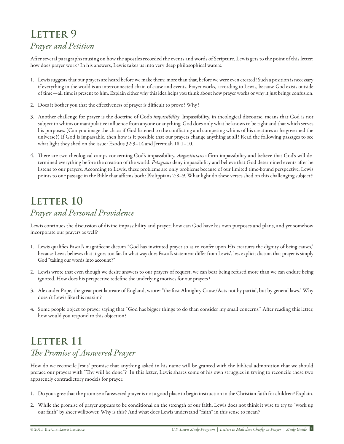# LETTER 9

#### *Prayer and Petition*

After several paragraphs musing on how the apostles recorded the events and words of Scripture, Lewis gets to the point of this letter: how does prayer work? In his answers, Lewis takes us into very deep philosophical waters.

- 1. Lewis suggests that our prayers are heard before we make them; more than that, before we were even created! Such a position is necessary if everything in the world is an interconnected chain of cause and events. Prayer works, according to Lewis, because God exists outside of time—all time is present to him. Explain either why this idea helps you think about how prayer works or why it just brings confusion.
- 2. Does it bother you that the effectiveness of prayer is difficult to prove? Why?
- 3. Another challenge for prayer is the doctrine of God's *impassibility*. Impassibility, in theological discourse, means that God is not subject to whims or manipulative influence from anyone or anything. God does only what he knows to be right and that which serves his purposes. (Can you image the chaos if God listened to the conflicting and competing whims of his creatures as he governed the universe?) If God is impassable, then how is it possible that our prayers change anything at all? Read the following passages to see what light they shed on the issue: Exodus 32:9–14 and Jeremiah 18:1–10.
- 4. There are two theological camps concerning God's impassibility. *Augustinians* affirm impassibility and believe that God's will determined everything before the creation of the world. *Pelagians* deny impassibility and believe that God determined events after he listens to our prayers. According to Lewis, these problems are only problems because of our limited time-bound perspective. Lewis points to one passage in the Bible that affirms both: Philippians 2:8–9. What light do these verses shed on this challenging subject?

# **LETTER 10** *Prayer and Personal Providence*

Lewis continues the discussion of divine impassibility and prayer; how can God have his own purposes and plans, and yet somehow incorporate our prayers as well?

- 1. Lewis qualifies Pascal's magnificent dictum "God has instituted prayer so as to confer upon His creatures the dignity of being causes," because Lewis believes that it goes too far. In what way does Pascal's statement differ from Lewis's less explicit dictum that prayer is simply God "taking our words into account?"
- 2. Lewis wrote that even though we desire answers to our prayers of request, we can bear being refused more than we can endure being ignored. How does his perspective redefine the underlying motives for our prayers?
- 3. Alexander Pope, the great poet laureate of England, wrote: "the first Almighty Cause/Acts not by partial, but by general laws." Why doesn't Lewis like this maxim?
- 4. Some people object to prayer saying that "God has bigger things to do than consider my small concerns." After reading this letter, how would you respond to this objection?

# LETTER 11 *The Promise of Answered Prayer*

How do we reconcile Jesus' promise that anything asked in his name will be granted with the biblical admonition that we should preface our prayers with "Thy will be done"? In this letter, Lewis shares some of his own struggles in trying to reconcile these two apparently contradictory models for prayer.

- 1. Do you agree that the promise of answered prayer is not a good place to begin instruction in the Christian faith for children? Explain.
- 2. While the promise of prayer appears to be conditional on the strength of our faith, Lewis does not think it wise to try to "work up our faith" by sheer willpower. Why is this? And what does Lewis understand "faith" in this sense to mean?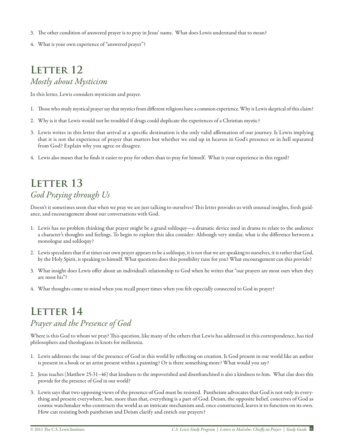- 3. The other condition of answered prayer is to pray in Jesus' name. What does Lewis understand that to mean?
- 4. What is your own experience of "answered prayer"?

#### LETTER 12 *Mostly about Mysticism*

In this letter, Lewis considers mysticism and prayer.

- 1. Those who study mystical prayer say that mystics from different religions have a common experience. Why is Lewis skeptical of this claim?
- 2. Why is it that Lewis would not be troubled if drugs could duplicate the experiences of a Christian mystic?
- 3. Lewis writes in this letter that arrival at a specific destination is the only valid affirmation of our journey. Is Lewis implying that it is not the experience of prayer that matters but whether we end up in heaven in God's presence or in hell separated from God? Explain why you agree or disagree.
- 4. Lewis also muses that he finds it easier to pray for others than to pray for himself. What is your experience in this regard?

# **LETTER 13** *God Praying through Us*

Doesn't it sometimes seem that when we pray we are just talking to ourselves? This letter provides us with unusual insights, fresh guidance, and encouragement about our conversations with God.

- 1. Lewis has no problem thinking that prayer might be a grand soliloquy—a dramatic device used in drama to relate to the audience a character's thoughts and feelings. To begin to explore this idea consider: Although very similar, what is the difference between a monologue and soliloquy?
- 2. Lewis speculates that if at times our own prayer appears to be a soliloquy, it is not that we are speaking to ourselves, it is rather that God, by the Holy Spirit, is speaking to himself. What questions does this possibility raise for you? What encouragement can this provide?
- 3. What insight does Lewis offer about an individual's relationship to God when he writes that "our prayers are most ours when they are most his"?
- 4. What thoughts come to mind when you recall prayer times when you felt especially connected to God in prayer?

# **LETTER 14** *Prayer and the Presence of God*

Where is this God to whom we pray? This question, like many of the others that Lewis has addressed in this correspondence, has tied philosophers and theologians in knots for millennia.

- 1. Lewis addresses the issue of the presence of God in this world by reflecting on creation. Is God present in our world like an author is present in a book or an artist present within a painting? Or is there something more? What would you say?
- 2. Jesus teaches (Matthew 25:31–46) that kindness to the impoverished and disenfranchised is also a kindness to him. What clue does this provide for the presence of God in our world?
- 3. Lewis says that two opposing views of the presence of God must be resisted. Pantheism advocates that God is not only in everything and present everywhere, but, more than that, everything is a part of God. Deism, the opposite belief, conceives of God as cosmic watchmaker who constructs the world as an intricate mechanism and, once constructed, leaves it to function on its own. How can resisting both pantheism and Deism clarify and enrich our prayers?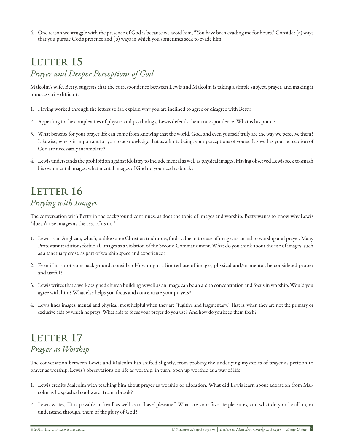4. One reason we struggle with the presence of God is because we avoid him, "You have been evading me for hours." Consider (a) ways that you pursue God's presence and (b) ways in which you sometimes seek to evade him.

#### LETTER 15 *Prayer and Deeper Perceptions of God*

Malcolm's wife, Betty, suggests that the correspondence between Lewis and Malcolm is taking a simple subject, prayer, and making it unnecessarily difficult.

- 1. Having worked through the letters so far, explain why you are inclined to agree or disagree with Betty.
- 2. Appealing to the complexities of physics and psychology, Lewis defends their correspondence. What is his point?
- 3. What benefits for your prayer life can come from knowing that the world, God, and even yourself truly are the way we perceive them? Likewise, why is it important for you to acknowledge that as a finite being, your perceptions of yourself as well as your perception of God are necessarily incomplete?
- 4. Lewis understands the prohibition against idolatry to include mental as well as physical images. Having observed Lewis seek to smash his own mental images, what mental images of God do you need to break?

### **LETTER 16** *Praying with Images*

The conversation with Betty in the background continues, as does the topic of images and worship. Betty wants to know why Lewis "doesn't use images as the rest of us do."

- 1. Lewis is an Anglican, which, unlike some Christian traditions, finds value in the use of images as an aid to worship and prayer. Many Protestant traditions forbid all images as a violation of the Second Commandment. What do you think about the use of images, such as a sanctuary cross, as part of worship space and experience?
- 2. Even if it is not your background, consider: How might a limited use of images, physical and/or mental, be considered proper and useful?
- 3. Lewis writes that a well-designed church building as well as an image can be an aid to concentration and focus in worship. Would you agree with him? What else helps you focus and concentrate your prayers?
- 4. Lewis finds images, mental and physical, most helpful when they are "fugitive and fragmentary." That is, when they are not the primary or exclusive aids by which he prays. What aids to focus your prayer do you use? And how do you keep them fresh?

#### LETTER 17 *Prayer as Worship*

The conversation between Lewis and Malcolm has shifted slightly, from probing the underlying mysteries of prayer as petition to prayer as worship. Lewis's observations on life as worship, in turn, open up worship as a way of life.

- 1. Lewis credits Malcolm with teaching him about prayer as worship or adoration. What did Lewis learn about adoration from Malcolm as he splashed cool water from a brook?
- 2. Lewis writes, "It is possible to 'read' as well as to 'have' pleasure." What are your favorite pleasures, and what do you "read" in, or understand through, them of the glory of God?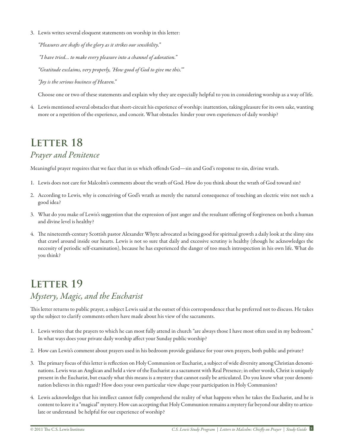3. Lewis writes several eloquent statements on worship in this letter:

*"Pleasures are shafts of the glory as it strikes our sensibility."* 

 *"I have tried… to make every pleasure into a channel of adoration."*

*"Gratitude exclaims, very properly, 'How good of God to give me this.'"*

*"Joy is the serious business of Heaven."*

Choose one or two of these statements and explain why they are especially helpful to you in considering worship as a way of life.

4. Lewis mentioned several obstacles that short-circuit his experience of worship: inattention, taking pleasure for its own sake, wanting more or a repetition of the experience, and conceit. What obstacles hinder your own experiences of daily worship?

# LETTER 18

#### *Prayer and Penitence*

Meaningful prayer requires that we face that in us which offends God—sin and God's response to sin, divine wrath.

- 1. Lewis does not care for Malcolm's comments about the wrath of God. How do you think about the wrath of God toward sin?
- 2. According to Lewis, why is conceiving of God's wrath as merely the natural consequence of touching an electric wire not such a good idea?
- 3. What do you make of Lewis's suggestion that the expression of just anger and the resultant offering of forgiveness on both a human and divine level is healthy?
- 4. The nineteenth-century Scottish pastor Alexander Whyte advocated as being good for spiritual growth a daily look at the slimy sins that crawl around inside our hearts. Lewis is not so sure that daily and excessive scrutiny is healthy (though he acknowledges the necessity of periodic self-examination), because he has experienced the danger of too much introspection in his own life. What do you think?

# **LETTER 19** *Mystery, Magic, and the Eucharist*

This letter returns to public prayer, a subject Lewis said at the outset of this correspondence that he preferred not to discuss. He takes up the subject to clarify comments others have made about his view of the sacraments.

- 1. Lewis writes that the prayers to which he can most fully attend in church "are always those I have most often used in my bedroom." In what ways does your private daily worship affect your Sunday public worship?
- 2. How can Lewis's comment about prayers used in his bedroom provide guidance for your own prayers, both public and private?
- 3. The primary focus of this letter is reflection on Holy Communion or Eucharist, a subject of wide diversity among Christian denominations. Lewis was an Anglican and held a view of the Eucharist as a sacrament with Real Presence; in other words, Christ is uniquely present in the Eucharist, but exactly what this means is a mystery that cannot easily be articulated. Do you know what your denomination believes in this regard? How does your own particular view shape your participation in Holy Communion?
- 4. Lewis acknowledges that his intellect cannot fully comprehend the reality of what happens when he takes the Eucharist, and he is content to leave it a "magical" mystery. How can accepting that Holy Communion remains a mystery far beyond our ability to articulate or understand be helpful for our experience of worship?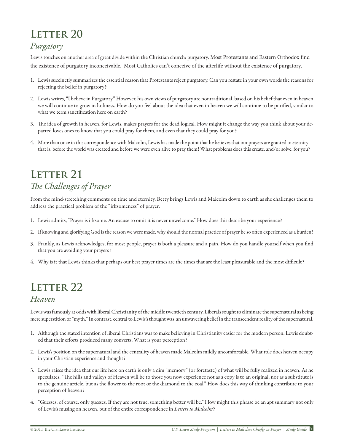# **LETTER 20**

#### *Purgatory*

Lewis touches on another area of great divide within the Christian church: purgatory. Most Protestants and Eastern Orthodox find the existence of purgatory inconceivable. Most Catholics can't conceive of the afterlife without the existence of purgatory.

- 1. Lewis succinctly summarizes the essential reason that Protestants reject purgatory. Can you restate in your own words the reasons for rejecting the belief in purgatory?
- 2. Lewis writes, "I believe in Purgatory." However, his own views of purgatory are nontraditional, based on his belief that even in heaven we will continue to grow in holiness. How do you feel about the idea that even in heaven we will continue to be purified, similar to what we term sanctification here on earth?
- 3. The idea of growth in heaven, for Lewis, makes prayers for the dead logical. How might it change the way you think about your departed loves ones to know that you could pray for them, and even that they could pray for you?
- 4. More than once in this correspondence with Malcolm, Lewis has made the point that he believes that our prayers are granted in eternity that is, before the world was created and before we were even alive to pray them! What problems does this create, and/or solve, for you?

# LETTER 21 *The Challenges of Prayer*

From the mind-stretching comments on time and eternity, Betty brings Lewis and Malcolm down to earth as she challenges them to address the practical problem of the "irksomeness" of prayer.

- 1. Lewis admits, "Prayer is irksome. An excuse to omit it is never unwelcome." How does this describe your experience?
- 2. If knowing and glorifying God is the reason we were made, why should the normal practice of prayer be so often experienced as a burden?
- 3. Frankly, as Lewis acknowledges, for most people, prayer is both a pleasure and a pain. How do you handle yourself when you find that you are avoiding your prayers?
- 4. Why is it that Lewis thinks that perhaps our best prayer times are the times that are the least pleasurable and the most difficult?

# **LETTER 22**

#### *Heaven*

Lewis was famously at odds with liberal Christianity of the middle twentieth century. Liberals sought to eliminate the supernatural as being mere superstition or "myth." In contrast, central to Lewis's thought was an unwavering belief in the transcendent reality of the supernatural.

- 1. Although the stated intention of liberal Christians was to make believing in Christianity easier for the modern person, Lewis doubted that their efforts produced many converts. What is your perception?
- 2. Lewis's position on the supernatural and the centrality of heaven made Malcolm mildly uncomfortable. What role does heaven occupy in your Christian experience and thought?
- 3. Lewis raises the idea that our life here on earth is only a dim "memory" (or foretaste) of what will be fully realized in heaven. As he speculates, "The hills and valleys of Heaven will be to those you now experience not as a copy is to an original, nor as a substitute is to the genuine article, but as the flower to the root or the diamond to the coal." How does this way of thinking contribute to your perception of heaven?
- 4. "Guesses, of course, only guesses. If they are not true, something better will be." How might this phrase be an apt summary not only of Lewis's musing on heaven, but of the entire correspondence in *Letters to Malcolm*?